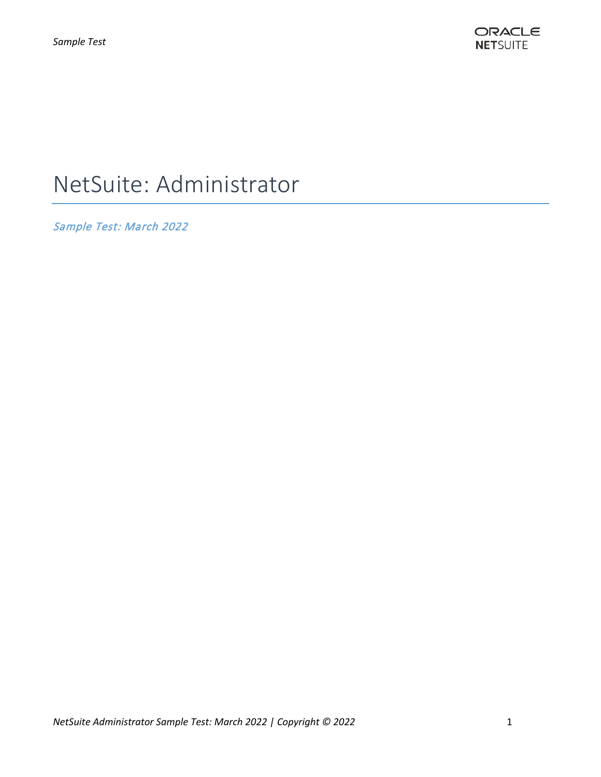

# NetSuite: Administrator

Sample Test: March 2022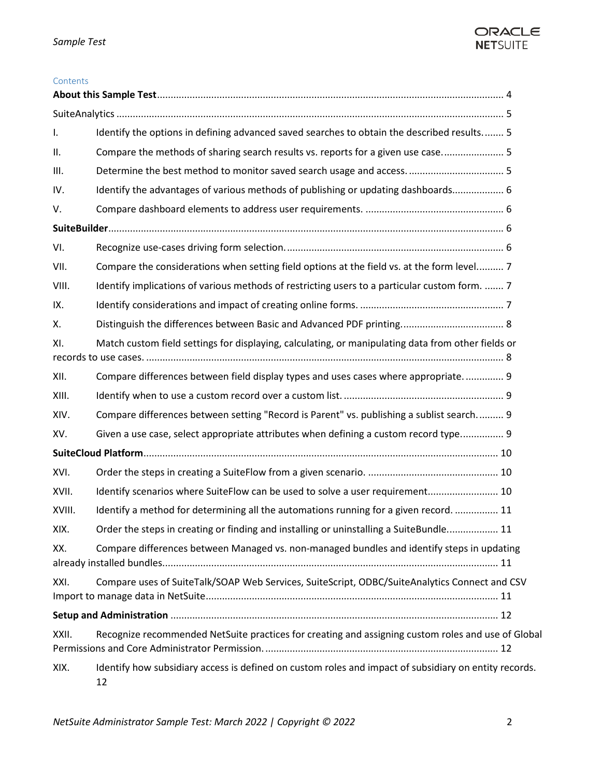

#### **Contents**

| Ι.     | Identify the options in defining advanced saved searches to obtain the described results 5                  |  |
|--------|-------------------------------------------------------------------------------------------------------------|--|
| ΙΙ.    | Compare the methods of sharing search results vs. reports for a given use case 5                            |  |
| Ш.     |                                                                                                             |  |
| IV.    | Identify the advantages of various methods of publishing or updating dashboards 6                           |  |
| V.     |                                                                                                             |  |
|        |                                                                                                             |  |
| VI.    |                                                                                                             |  |
| VII.   | Compare the considerations when setting field options at the field vs. at the form level 7                  |  |
| VIII.  | Identify implications of various methods of restricting users to a particular custom form.  7               |  |
| IX.    |                                                                                                             |  |
| Χ.     |                                                                                                             |  |
| XI.    | Match custom field settings for displaying, calculating, or manipulating data from other fields or          |  |
| XII.   | Compare differences between field display types and uses cases where appropriate.  9                        |  |
| XIII.  |                                                                                                             |  |
| XIV.   | Compare differences between setting "Record is Parent" vs. publishing a sublist search 9                    |  |
| XV.    |                                                                                                             |  |
|        | Given a use case, select appropriate attributes when defining a custom record type 9                        |  |
|        |                                                                                                             |  |
| XVI.   |                                                                                                             |  |
| XVII.  | Identify scenarios where SuiteFlow can be used to solve a user requirement 10                               |  |
| XVIII. | Identify a method for determining all the automations running for a given record.  11                       |  |
| XIX.   | Order the steps in creating or finding and installing or uninstalling a SuiteBundle 11                      |  |
| XX.    | Compare differences between Managed vs. non-managed bundles and identify steps in updating                  |  |
| XXI.   | Compare uses of SuiteTalk/SOAP Web Services, SuiteScript, ODBC/SuiteAnalytics Connect and CSV               |  |
|        |                                                                                                             |  |
| XXII.  | Recognize recommended NetSuite practices for creating and assigning custom roles and use of Global          |  |
| XIX.   | Identify how subsidiary access is defined on custom roles and impact of subsidiary on entity records.<br>12 |  |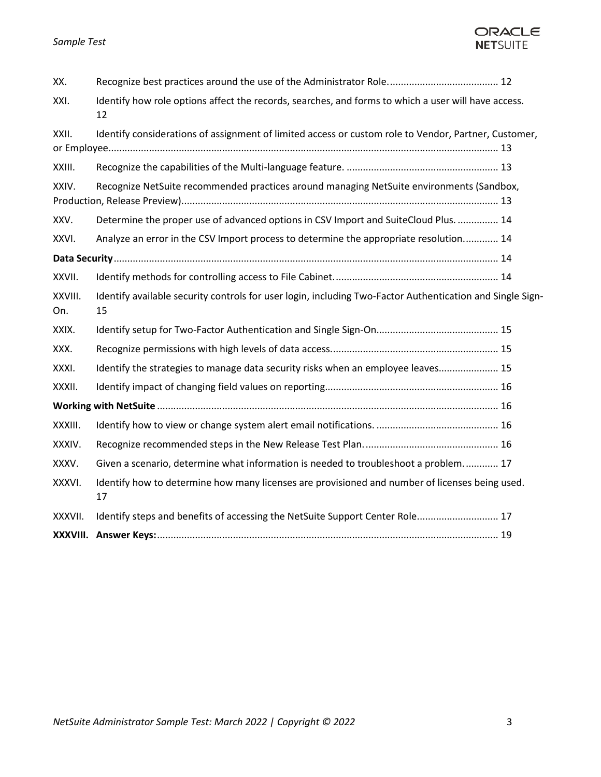## *Sample Test*



| XXXVIII.       |                                                                                                                 |  |
|----------------|-----------------------------------------------------------------------------------------------------------------|--|
| XXXVII.        | Identify steps and benefits of accessing the NetSuite Support Center Role 17                                    |  |
| XXXVI.         | Identify how to determine how many licenses are provisioned and number of licenses being used.<br>17            |  |
| XXXV.          | Given a scenario, determine what information is needed to troubleshoot a problem 17                             |  |
| XXXIV.         |                                                                                                                 |  |
| XXXIII.        |                                                                                                                 |  |
|                |                                                                                                                 |  |
| XXXII.         |                                                                                                                 |  |
| XXXI.          | Identify the strategies to manage data security risks when an employee leaves 15                                |  |
| XXX.           |                                                                                                                 |  |
| XXIX.          |                                                                                                                 |  |
| XXVIII.<br>On. | Identify available security controls for user login, including Two-Factor Authentication and Single Sign-<br>15 |  |
| XXVII.         |                                                                                                                 |  |
|                |                                                                                                                 |  |
| XXVI.          | Analyze an error in the CSV Import process to determine the appropriate resolution 14                           |  |
| XXV.           | Determine the proper use of advanced options in CSV Import and SuiteCloud Plus.  14                             |  |
| XXIV.          | Recognize NetSuite recommended practices around managing NetSuite environments (Sandbox,                        |  |
| XXIII.         |                                                                                                                 |  |
| XXII.          | Identify considerations of assignment of limited access or custom role to Vendor, Partner, Customer,            |  |
| XXI.           | Identify how role options affect the records, searches, and forms to which a user will have access.<br>12       |  |
| XX.            |                                                                                                                 |  |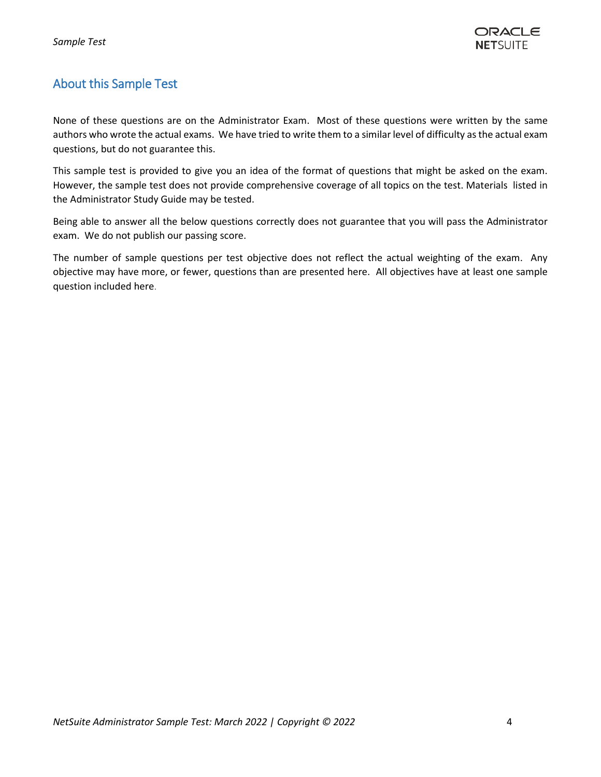# <span id="page-3-0"></span>About this Sample Test

None of these questions are on the Administrator Exam. Most of these questions were written by the same authors who wrote the actual exams. We have tried to write them to a similar level of difficulty as the actual exam questions, but do not guarantee this.

This sample test is provided to give you an idea of the format of questions that might be asked on the exam. However, the sample test does not provide comprehensive coverage of all topics on the test. Materials listed in the Administrator Study Guide may be tested.

Being able to answer all the below questions correctly does not guarantee that you will pass the Administrator exam. We do not publish our passing score.

The number of sample questions per test objective does not reflect the actual weighting of the exam. Any objective may have more, or fewer, questions than are presented here. All objectives have at least one sample question included here.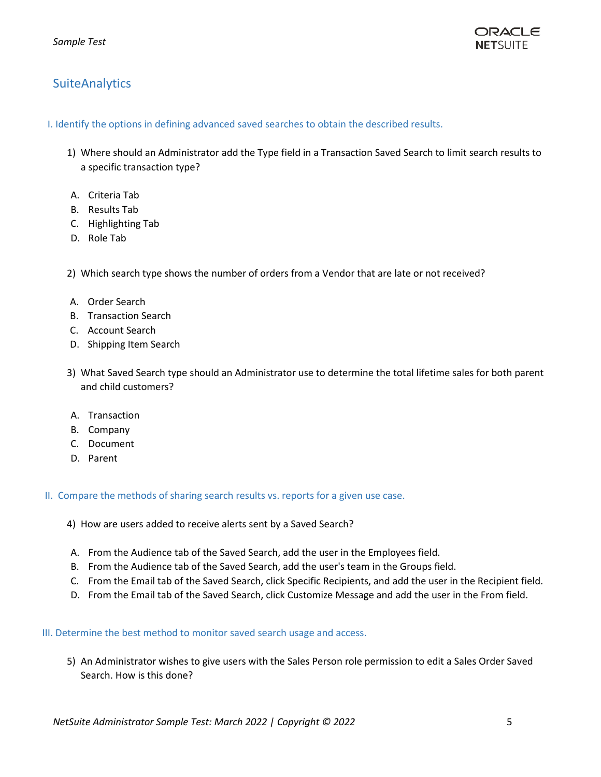

# <span id="page-4-1"></span><span id="page-4-0"></span>**SuiteAnalytics**

I. Identify the options in defining advanced saved searches to obtain the described results.

- 1) Where should an Administrator add the Type field in a Transaction Saved Search to limit search results to a specific transaction type?
- A. Criteria Tab
- B. Results Tab
- C. Highlighting Tab
- D. Role Tab

2) Which search type shows the number of orders from a Vendor that are late or not received?

- A. Order Search
- B. Transaction Search
- C. Account Search
- D. Shipping Item Search
- 3) What Saved Search type should an Administrator use to determine the total lifetime sales for both parent and child customers?
- A. Transaction
- B. Company
- C. Document
- D. Parent

<span id="page-4-2"></span>II. Compare the methods of sharing search results vs. reports for a given use case.

4) How are users added to receive alerts sent by a Saved Search?

- A. From the Audience tab of the Saved Search, add the user in the Employees field.
- B. From the Audience tab of the Saved Search, add the user's team in the Groups field.
- C. From the Email tab of the Saved Search, click Specific Recipients, and add the user in the Recipient field.
- D. From the Email tab of the Saved Search, click Customize Message and add the user in the From field.

<span id="page-4-3"></span>III. Determine the best method to monitor saved search usage and access.

5) An Administrator wishes to give users with the Sales Person role permission to edit a Sales Order Saved Search. How is this done?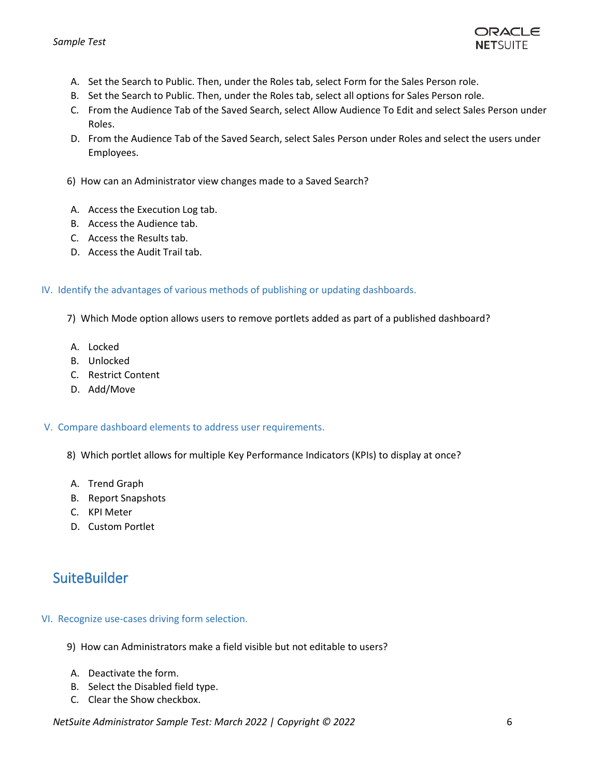

- A. Set the Search to Public. Then, under the Roles tab, select Form for the Sales Person role.
- B. Set the Search to Public. Then, under the Roles tab, select all options for Sales Person role.
- C. From the Audience Tab of the Saved Search, select Allow Audience To Edit and select Sales Person under Roles.
- D. From the Audience Tab of the Saved Search, select Sales Person under Roles and select the users under Employees.
- 6) How can an Administrator view changes made to a Saved Search?
- A. Access the Execution Log tab.
- B. Access the Audience tab.
- C. Access the Results tab.
- D. Access the Audit Trail tab.

#### <span id="page-5-0"></span>IV. Identify the advantages of various methods of publishing or updating dashboards.

- 7) Which Mode option allows users to remove portlets added as part of a published dashboard?
- A. Locked
- B. Unlocked
- C. Restrict Content
- D. Add/Move

#### <span id="page-5-1"></span>V. Compare dashboard elements to address user requirements.

- 8) Which portlet allows for multiple Key Performance Indicators (KPIs) to display at once?
- A. Trend Graph
- B. Report Snapshots
- C. KPI Meter
- D. Custom Portlet

# <span id="page-5-3"></span><span id="page-5-2"></span>**SuiteBuilder**

### VI. Recognize use-cases driving form selection.

- 9) How can Administrators make a field visible but not editable to users?
- A. Deactivate the form.
- B. Select the Disabled field type.
- C. Clear the Show checkbox.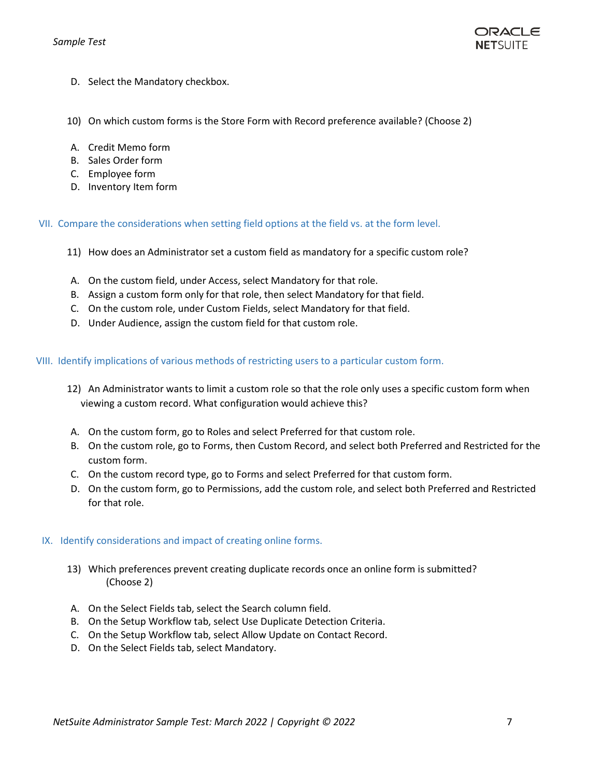

- D. Select the Mandatory checkbox.
- 10) On which custom forms is the Store Form with Record preference available? (Choose 2)
- A. Credit Memo form
- B. Sales Order form
- C. Employee form
- <span id="page-6-0"></span>D. Inventory Item form

VII. Compare the considerations when setting field options at the field vs. at the form level.

- 11) How does an Administrator set a custom field as mandatory for a specific custom role?
- A. On the custom field, under Access, select Mandatory for that role.
- B. Assign a custom form only for that role, then select Mandatory for that field.
- C. On the custom role, under Custom Fields, select Mandatory for that field.
- <span id="page-6-1"></span>D. Under Audience, assign the custom field for that custom role.

VIII. Identify implications of various methods of restricting users to a particular custom form.

- 12) An Administrator wants to limit a custom role so that the role only uses a specific custom form when viewing a custom record. What configuration would achieve this?
- A. On the custom form, go to Roles and select Preferred for that custom role.
- B. On the custom role, go to Forms, then Custom Record, and select both Preferred and Restricted for the custom form.
- C. On the custom record type, go to Forms and select Preferred for that custom form.
- D. On the custom form, go to Permissions, add the custom role, and select both Preferred and Restricted for that role.

#### <span id="page-6-2"></span>IX. Identify considerations and impact of creating online forms.

- 13) Which preferences prevent creating duplicate records once an online form is submitted? (Choose 2)
- A. On the Select Fields tab, select the Search column field.
- B. On the Setup Workflow tab, select Use Duplicate Detection Criteria.
- C. On the Setup Workflow tab, select Allow Update on Contact Record.
- D. On the Select Fields tab, select Mandatory.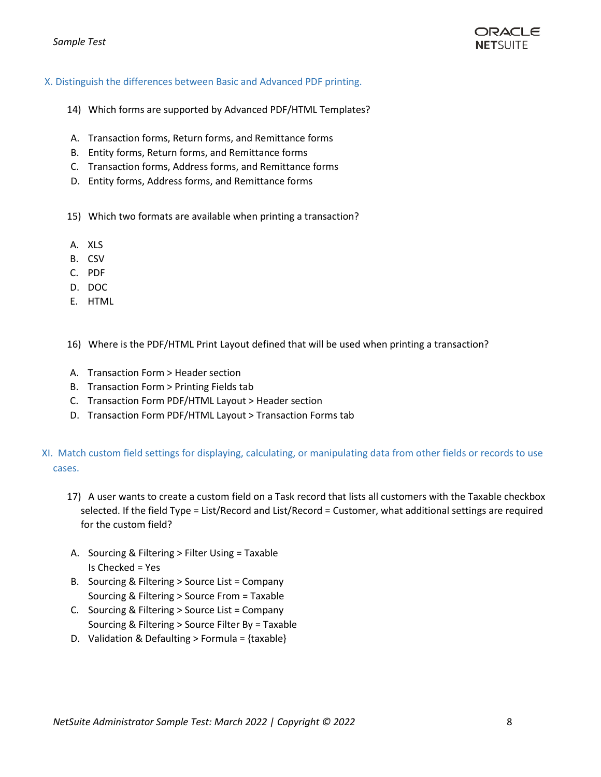#### *Sample Test*

#### <span id="page-7-0"></span>X. Distinguish the differences between Basic and Advanced PDF printing.

- 14) Which forms are supported by Advanced PDF/HTML Templates?
- A. Transaction forms, Return forms, and Remittance forms
- B. Entity forms, Return forms, and Remittance forms
- C. Transaction forms, Address forms, and Remittance forms
- D. Entity forms, Address forms, and Remittance forms
- 15) Which two formats are available when printing a transaction?
- A. XLS
- B. CSV
- C. PDF
- D. DOC
- E. HTML
- 16) Where is the PDF/HTML Print Layout defined that will be used when printing a transaction?
- A. Transaction Form > Header section
- B. Transaction Form > Printing Fields tab
- C. Transaction Form PDF/HTML Layout > Header section
- D. Transaction Form PDF/HTML Layout > Transaction Forms tab

### <span id="page-7-1"></span>XI. Match custom field settings for displaying, calculating, or manipulating data from other fields or records to use cases.

- 17) A user wants to create a custom field on a Task record that lists all customers with the Taxable checkbox selected. If the field Type = List/Record and List/Record = Customer, what additional settings are required for the custom field?
- A. Sourcing & Filtering > Filter Using = Taxable Is Checked = Yes
- B. Sourcing & Filtering > Source List = Company Sourcing & Filtering > Source From = Taxable
- C. Sourcing & Filtering > Source List = Company Sourcing & Filtering > Source Filter By = Taxable
- D. Validation & Defaulting > Formula =  $\{taxable\}$

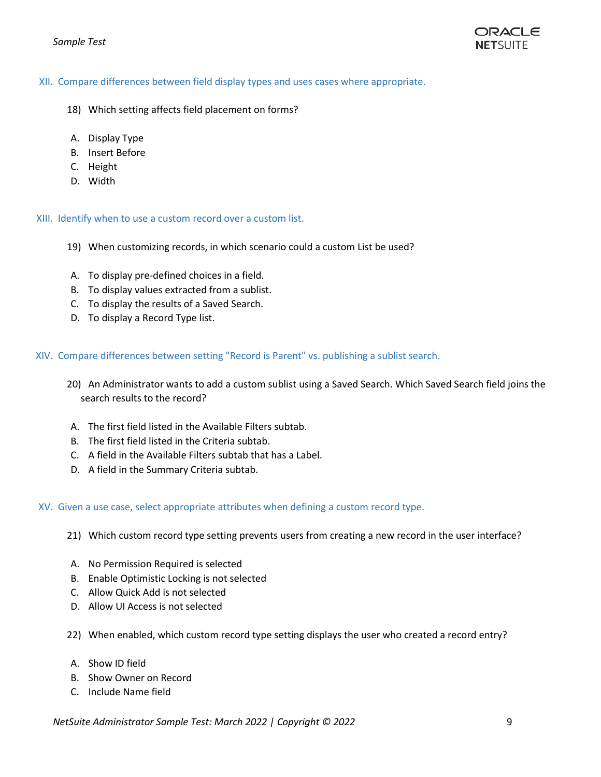

#### <span id="page-8-0"></span>XII. Compare differences between field display types and uses cases where appropriate.

- 18) Which setting affects field placement on forms?
- A. Display Type
- B. Insert Before
- C. Height
- <span id="page-8-1"></span>D. Width

#### XIII. Identify when to use a custom record over a custom list.

- 19) When customizing records, in which scenario could a custom List be used?
- A. To display pre-defined choices in a field.
- B. To display values extracted from a sublist.
- C. To display the results of a Saved Search.
- <span id="page-8-2"></span>D. To display a Record Type list.

#### XIV. Compare differences between setting "Record is Parent" vs. publishing a sublist search.

- 20) An Administrator wants to add a custom sublist using a Saved Search. Which Saved Search field joins the search results to the record?
- A. The first field listed in the Available Filters subtab.
- B. The first field listed in the Criteria subtab.
- C. A field in the Available Filters subtab that has a Label.
- <span id="page-8-3"></span>D. A field in the Summary Criteria subtab.

#### XV. Given a use case, select appropriate attributes when defining a custom record type.

- 21) Which custom record type setting prevents users from creating a new record in the user interface?
- A. No Permission Required is selected
- B. Enable Optimistic Locking is not selected
- C. Allow Quick Add is not selected
- D. Allow UI Access is not selected
- 22) When enabled, which custom record type setting displays the user who created a record entry?
- A. Show ID field
- B. Show Owner on Record
- C. Include Name field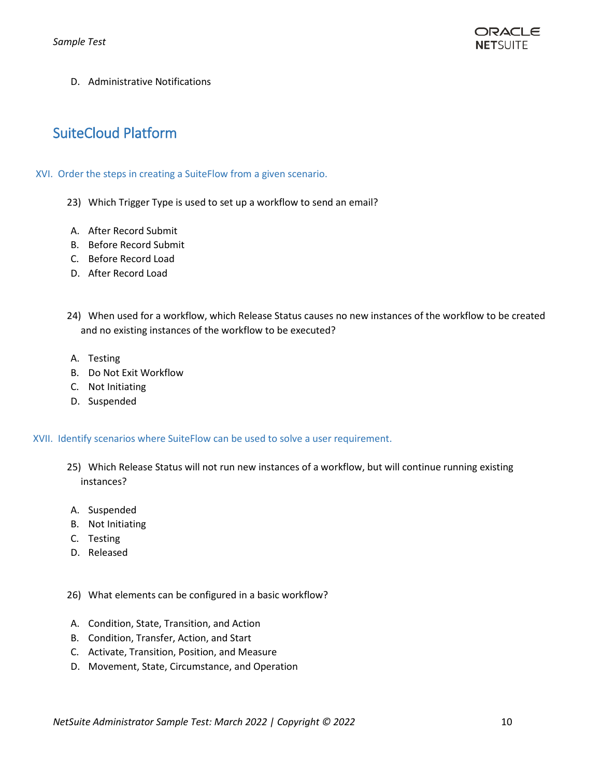

D. Administrative Notifications

# <span id="page-9-1"></span><span id="page-9-0"></span>SuiteCloud Platform

#### XVI. Order the steps in creating a SuiteFlow from a given scenario.

- 23) Which Trigger Type is used to set up a workflow to send an email?
- A. After Record Submit
- B. Before Record Submit
- C. Before Record Load
- D. After Record Load
- 24) When used for a workflow, which Release Status causes no new instances of the workflow to be created and no existing instances of the workflow to be executed?
- A. Testing
- B. Do Not Exit Workflow
- C. Not Initiating
- <span id="page-9-2"></span>D. Suspended

XVII. Identify scenarios where SuiteFlow can be used to solve a user requirement.

- 25) Which Release Status will not run new instances of a workflow, but will continue running existing instances?
- A. Suspended
- B. Not Initiating
- C. Testing
- D. Released
- 26) What elements can be configured in a basic workflow?
- A. Condition, State, Transition, and Action
- B. Condition, Transfer, Action, and Start
- C. Activate, Transition, Position, and Measure
- D. Movement, State, Circumstance, and Operation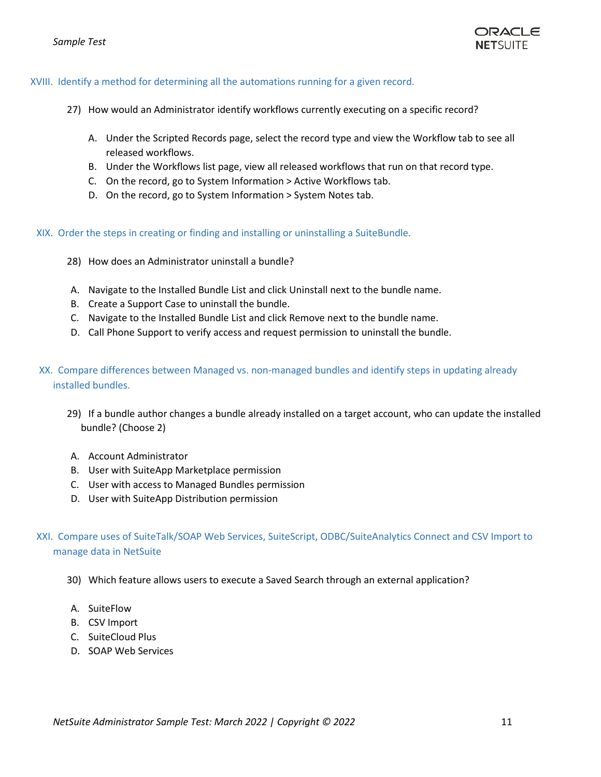

#### <span id="page-10-0"></span>XVIII. Identify a method for determining all the automations running for a given record.

- 27) How would an Administrator identify workflows currently executing on a specific record?
	- A. Under the Scripted Records page, select the record type and view the Workflow tab to see all released workflows.
	- B. Under the Workflows list page, view all released workflows that run on that record type.
	- C. On the record, go to System Information > Active Workflows tab.
	- D. On the record, go to System Information > System Notes tab.

<span id="page-10-1"></span>XIX. Order the steps in creating or finding and installing or uninstalling a SuiteBundle.

- 28) How does an Administrator uninstall a bundle?
- A. Navigate to the Installed Bundle List and click Uninstall next to the bundle name.
- B. Create a Support Case to uninstall the bundle.
- C. Navigate to the Installed Bundle List and click Remove next to the bundle name.
- <span id="page-10-2"></span>D. Call Phone Support to verify access and request permission to uninstall the bundle.
- XX. Compare differences between Managed vs. non-managed bundles and identify steps in updating already installed bundles.
	- 29) If a bundle author changes a bundle already installed on a target account, who can update the installed bundle? (Choose 2)
	- A. Account Administrator
	- B. User with SuiteApp Marketplace permission
	- C. User with access to Managed Bundles permission
	- D. User with SuiteApp Distribution permission

### <span id="page-10-3"></span>XXI. Compare uses of SuiteTalk/SOAP Web Services, SuiteScript, ODBC/SuiteAnalytics Connect and CSV Import to manage data in NetSuite

- 30) Which feature allows users to execute a Saved Search through an external application?
- A. SuiteFlow
- B. CSV Import
- C. SuiteCloud Plus
- D. SOAP Web Services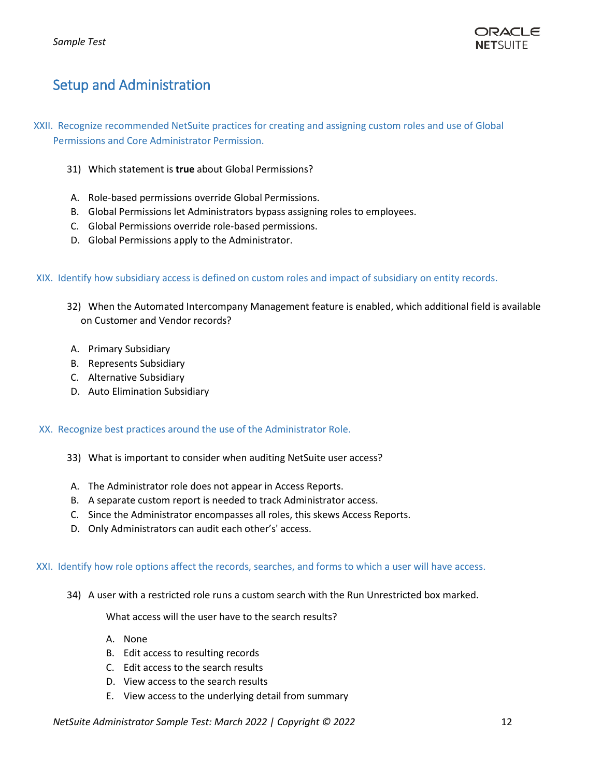

# <span id="page-11-1"></span><span id="page-11-0"></span>Setup and Administration

- XXII. Recognize recommended NetSuite practices for creating and assigning custom roles and use of Global Permissions and Core Administrator Permission.
	- 31) Which statement is **true** about Global Permissions?
	- A. Role-based permissions override Global Permissions.
	- B. Global Permissions let Administrators bypass assigning roles to employees.
	- C. Global Permissions override role-based permissions.
	- D. Global Permissions apply to the Administrator.

#### <span id="page-11-2"></span>XIX. Identify how subsidiary access is defined on custom roles and impact of subsidiary on entity records.

- 32) When the Automated Intercompany Management feature is enabled, which additional field is available on Customer and Vendor records?
- A. Primary Subsidiary
- B. Represents Subsidiary
- C. Alternative Subsidiary
- D. Auto Elimination Subsidiary

#### <span id="page-11-3"></span>XX. Recognize best practices around the use of the Administrator Role.

- 33) What is important to consider when auditing NetSuite user access?
- A. The Administrator role does not appear in Access Reports.
- B. A separate custom report is needed to track Administrator access.
- C. Since the Administrator encompasses all roles, this skews Access Reports.
- <span id="page-11-4"></span>D. Only Administrators can audit each other's' access.

#### XXI. Identify how role options affect the records, searches, and forms to which a user will have access.

34) A user with a restricted role runs a custom search with the Run Unrestricted box marked.

What access will the user have to the search results?

- A. None
- B. Edit access to resulting records
- C. Edit access to the search results
- D. View access to the search results
- E. View access to the underlying detail from summary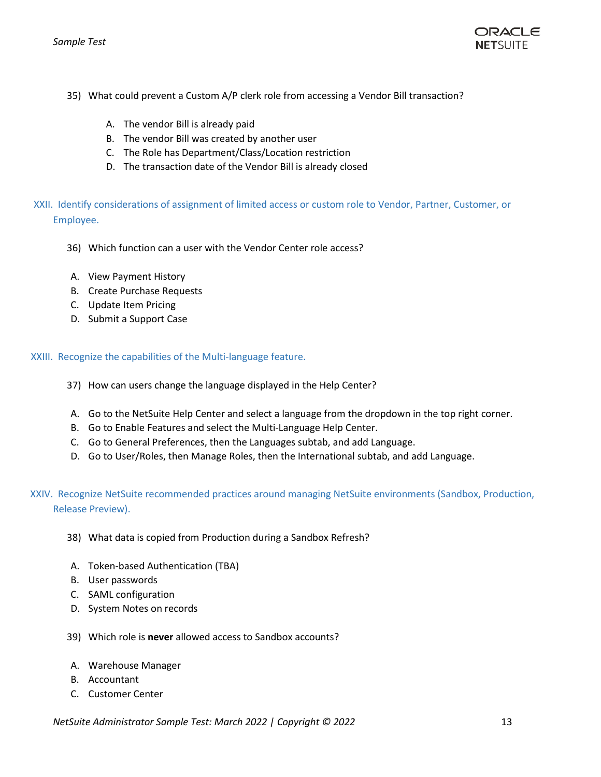

- 35) What could prevent a Custom A/P clerk role from accessing a Vendor Bill transaction?
	- A. The vendor Bill is already paid
	- B. The vendor Bill was created by another user
	- C. The Role has Department/Class/Location restriction
	- D. The transaction date of the Vendor Bill is already closed
- <span id="page-12-0"></span>XXII. Identify considerations of assignment of limited access or custom role to Vendor, Partner, Customer, or Employee.
	- 36) Which function can a user with the Vendor Center role access?
	- A. View Payment History
	- B. Create Purchase Requests
	- C. Update Item Pricing
	- D. Submit a Support Case

<span id="page-12-1"></span>XXIII. Recognize the capabilities of the Multi-language feature.

- 37) How can users change the language displayed in the Help Center?
- A. Go to the NetSuite Help Center and select a language from the dropdown in the top right corner.
- B. Go to Enable Features and select the Multi-Language Help Center.
- C. Go to General Preferences, then the Languages subtab, and add Language.
- <span id="page-12-2"></span>D. Go to User/Roles, then Manage Roles, then the International subtab, and add Language.

### XXIV. Recognize NetSuite recommended practices around managing NetSuite environments (Sandbox, Production, Release Preview).

- 38) What data is copied from Production during a Sandbox Refresh?
- A. Token-based Authentication (TBA)
- B. User passwords
- C. SAML configuration
- D. System Notes on records
- 39) Which role is **never** allowed access to Sandbox accounts?
- A. Warehouse Manager
- B. Accountant
- C. Customer Center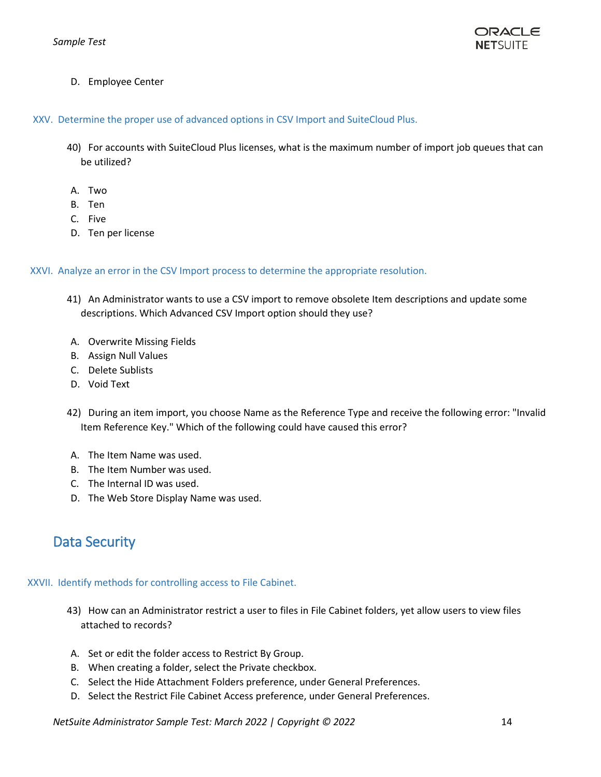

<span id="page-13-0"></span>D. Employee Center

XXV. Determine the proper use of advanced options in CSV Import and SuiteCloud Plus.

- 40) For accounts with SuiteCloud Plus licenses, what is the maximum number of import job queues that can be utilized?
- A. Two
- B. Ten
- C. Five
- <span id="page-13-1"></span>D. Ten per license

XXVI. Analyze an error in the CSV Import process to determine the appropriate resolution.

- 41) An Administrator wants to use a CSV import to remove obsolete Item descriptions and update some descriptions. Which Advanced CSV Import option should they use?
- A. Overwrite Missing Fields
- B. Assign Null Values
- C. Delete Sublists
- D. Void Text
- 42) During an item import, you choose Name as the Reference Type and receive the following error: "Invalid Item Reference Key." Which of the following could have caused this error?
- A. The Item Name was used.
- B. The Item Number was used.
- C. The Internal ID was used.
- D. The Web Store Display Name was used.

# <span id="page-13-3"></span><span id="page-13-2"></span>Data Security

#### XXVII. Identify methods for controlling access to File Cabinet.

- 43) How can an Administrator restrict a user to files in File Cabinet folders, yet allow users to view files attached to records?
- A. Set or edit the folder access to Restrict By Group.
- B. When creating a folder, select the Private checkbox.
- C. Select the Hide Attachment Folders preference, under General Preferences.
- D. Select the Restrict File Cabinet Access preference, under General Preferences.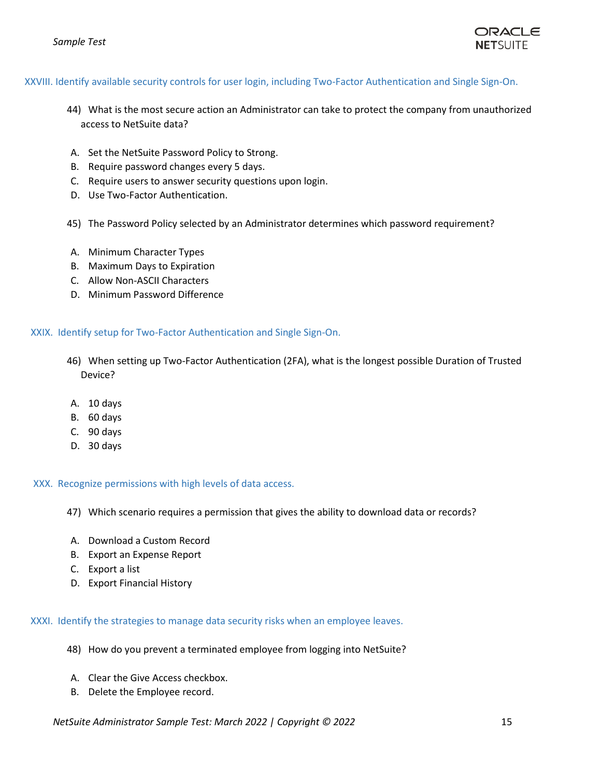

#### <span id="page-14-0"></span>XXVIII. Identify available security controls for user login, including Two-Factor Authentication and Single Sign-On.

- 44) What is the most secure action an Administrator can take to protect the company from unauthorized access to NetSuite data?
- A. Set the NetSuite Password Policy to Strong.
- B. Require password changes every 5 days.
- C. Require users to answer security questions upon login.
- D. Use Two-Factor Authentication.
- 45) The Password Policy selected by an Administrator determines which password requirement?
- A. Minimum Character Types
- B. Maximum Days to Expiration
- C. Allow Non-ASCII Characters
- <span id="page-14-1"></span>D. Minimum Password Difference

#### XXIX. Identify setup for Two-Factor Authentication and Single Sign-On.

- 46) When setting up Two-Factor Authentication (2FA), what is the longest possible Duration of Trusted Device?
- A. 10 days
- B. 60 days
- C. 90 days
- <span id="page-14-2"></span>D. 30 days

XXX. Recognize permissions with high levels of data access.

- 47) Which scenario requires a permission that gives the ability to download data or records?
- A. Download a Custom Record
- B. Export an Expense Report
- C. Export a list
- <span id="page-14-3"></span>D. Export Financial History

XXXI. Identify the strategies to manage data security risks when an employee leaves.

- 48) How do you prevent a terminated employee from logging into NetSuite?
- A. Clear the Give Access checkbox.
- B. Delete the Employee record.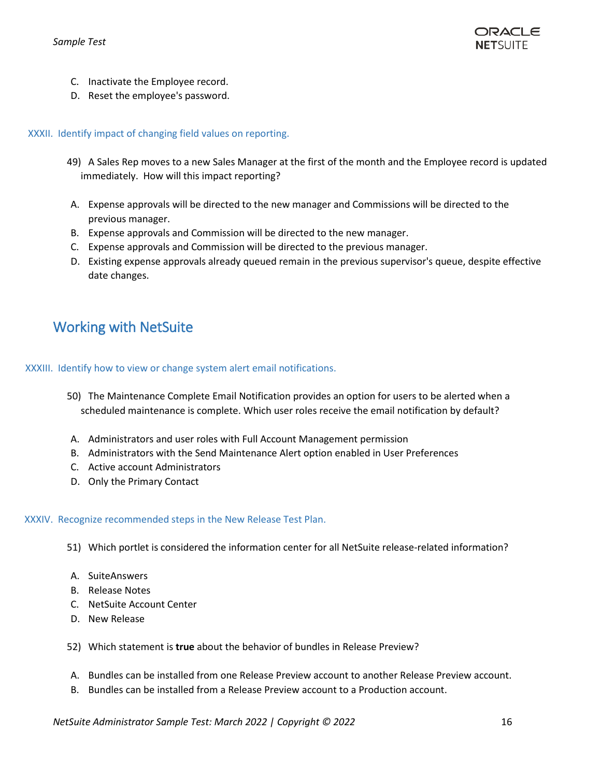

- C. Inactivate the Employee record.
- <span id="page-15-0"></span>D. Reset the employee's password.

#### XXXII. Identify impact of changing field values on reporting.

- 49) A Sales Rep moves to a new Sales Manager at the first of the month and the Employee record is updated immediately. How will this impact reporting?
- A. Expense approvals will be directed to the new manager and Commissions will be directed to the previous manager.
- B. Expense approvals and Commission will be directed to the new manager.
- C. Expense approvals and Commission will be directed to the previous manager.
- D. Existing expense approvals already queued remain in the previous supervisor's queue, despite effective date changes.

# <span id="page-15-2"></span><span id="page-15-1"></span>Working with NetSuite

XXXIII. Identify how to view or change system alert email notifications.

- 50) The Maintenance Complete Email Notification provides an option for users to be alerted when a scheduled maintenance is complete. Which user roles receive the email notification by default?
- A. Administrators and user roles with Full Account Management permission
- B. Administrators with the Send Maintenance Alert option enabled in User Preferences
- C. Active account Administrators
- <span id="page-15-3"></span>D. Only the Primary Contact

#### XXXIV. Recognize recommended steps in the New Release Test Plan.

51) Which portlet is considered the information center for all NetSuite release-related information?

- A. SuiteAnswers
- B. Release Notes
- C. NetSuite Account Center
- D. New Release
- 52) Which statement is **true** about the behavior of bundles in Release Preview?
- A. Bundles can be installed from one Release Preview account to another Release Preview account.
- B. Bundles can be installed from a Release Preview account to a Production account.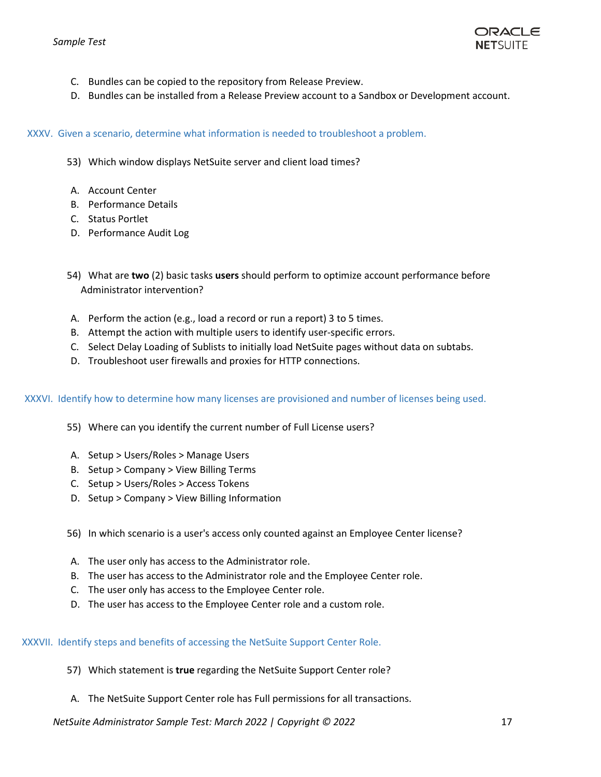

- C. Bundles can be copied to the repository from Release Preview.
- <span id="page-16-0"></span>D. Bundles can be installed from a Release Preview account to a Sandbox or Development account.

XXXV. Given a scenario, determine what information is needed to troubleshoot a problem.

- 53) Which window displays NetSuite server and client load times?
- A. Account Center
- B. Performance Details
- C. Status Portlet
- D. Performance Audit Log
- 54) What are **two** (2) basic tasks **users** should perform to optimize account performance before Administrator intervention?
- A. Perform the action (e.g., load a record or run a report) 3 to 5 times.
- B. Attempt the action with multiple users to identify user-specific errors.
- C. Select Delay Loading of Sublists to initially load NetSuite pages without data on subtabs.
- <span id="page-16-1"></span>D. Troubleshoot user firewalls and proxies for HTTP connections.

XXXVI. Identify how to determine how many licenses are provisioned and number of licenses being used.

- 55) Where can you identify the current number of Full License users?
- A. Setup > Users/Roles > Manage Users
- B. Setup > Company > View Billing Terms
- C. Setup > Users/Roles > Access Tokens
- D. Setup > Company > View Billing Information
- 56) In which scenario is a user's access only counted against an Employee Center license?
- A. The user only has access to the Administrator role.
- B. The user has access to the Administrator role and the Employee Center role.
- C. The user only has access to the Employee Center role.
- <span id="page-16-2"></span>D. The user has access to the Employee Center role and a custom role.

XXXVII. Identify steps and benefits of accessing the NetSuite Support Center Role.

- 57) Which statement is **true** regarding the NetSuite Support Center role?
- A. The NetSuite Support Center role has Full permissions for all transactions.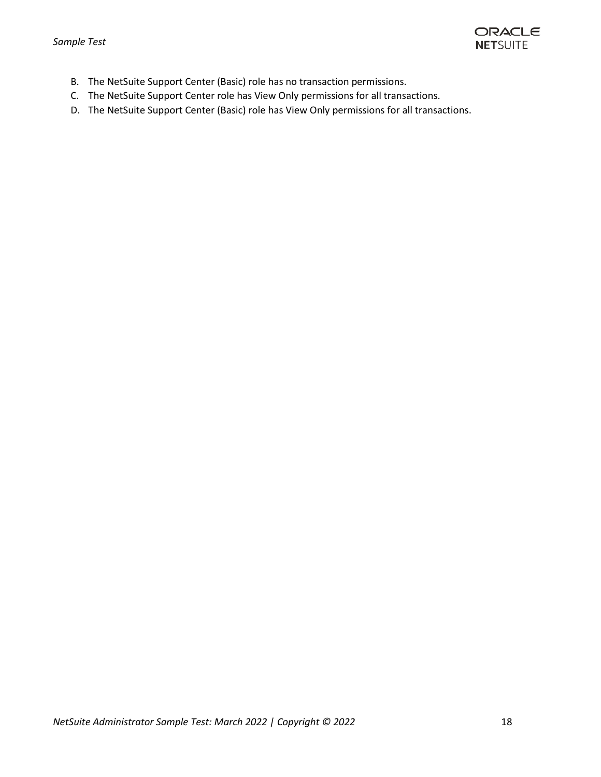

- B. The NetSuite Support Center (Basic) role has no transaction permissions.
- C. The NetSuite Support Center role has View Only permissions for all transactions.
- D. The NetSuite Support Center (Basic) role has View Only permissions for all transactions.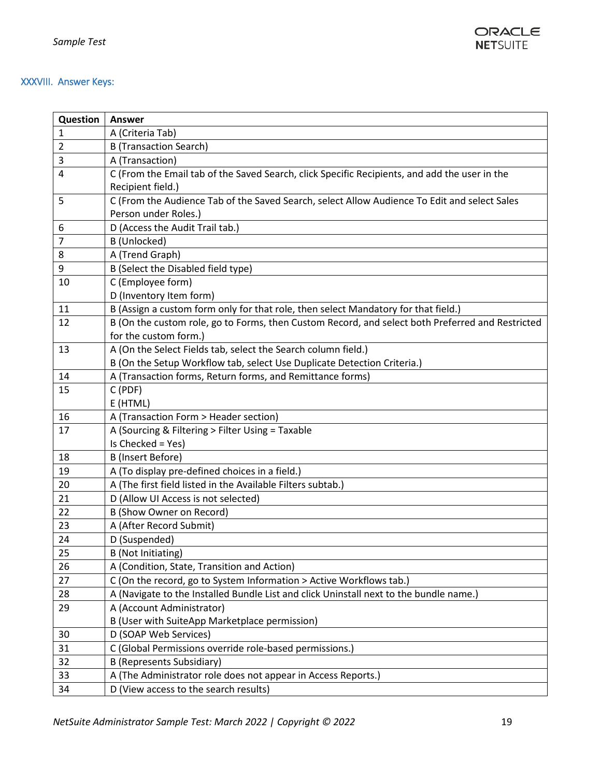

### <span id="page-18-0"></span>XXXVIII. Answer Keys:

| Question       | Answer                                                                                           |
|----------------|--------------------------------------------------------------------------------------------------|
| 1              | A (Criteria Tab)                                                                                 |
| 2              | <b>B</b> (Transaction Search)                                                                    |
| 3              | A (Transaction)                                                                                  |
| $\overline{4}$ | C (From the Email tab of the Saved Search, click Specific Recipients, and add the user in the    |
|                | Recipient field.)                                                                                |
| 5              | C (From the Audience Tab of the Saved Search, select Allow Audience To Edit and select Sales     |
|                | Person under Roles.)                                                                             |
| 6              | D (Access the Audit Trail tab.)                                                                  |
| 7              | B (Unlocked)                                                                                     |
| 8              | A (Trend Graph)                                                                                  |
| 9              | B (Select the Disabled field type)                                                               |
| 10             | C (Employee form)                                                                                |
|                | D (Inventory Item form)                                                                          |
| 11             | B (Assign a custom form only for that role, then select Mandatory for that field.)               |
| 12             | B (On the custom role, go to Forms, then Custom Record, and select both Preferred and Restricted |
|                | for the custom form.)                                                                            |
| 13             | A (On the Select Fields tab, select the Search column field.)                                    |
|                | B (On the Setup Workflow tab, select Use Duplicate Detection Criteria.)                          |
| 14             | A (Transaction forms, Return forms, and Remittance forms)                                        |
| 15             | C (PDF)                                                                                          |
|                | E (HTML)                                                                                         |
| 16             | A (Transaction Form > Header section)                                                            |
| 17             | A (Sourcing & Filtering > Filter Using = Taxable                                                 |
|                | Is Checked = Yes)                                                                                |
| 18             | B (Insert Before)                                                                                |
| 19             | A (To display pre-defined choices in a field.)                                                   |
| 20             | A (The first field listed in the Available Filters subtab.)                                      |
| 21             | D (Allow UI Access is not selected)                                                              |
| 22             | <b>B (Show Owner on Record)</b>                                                                  |
| 23             | A (After Record Submit)                                                                          |
| 24             | D (Suspended)                                                                                    |
| 25             | B (Not Initiating)                                                                               |
| 26             | A (Condition, State, Transition and Action)                                                      |
| 27             | C (On the record, go to System Information > Active Workflows tab.)                              |
| 28             | A (Navigate to the Installed Bundle List and click Uninstall next to the bundle name.)           |
| 29             | A (Account Administrator)                                                                        |
|                | B (User with SuiteApp Marketplace permission)                                                    |
| 30             | D (SOAP Web Services)                                                                            |
| 31             | C (Global Permissions override role-based permissions.)                                          |
| 32             | <b>B</b> (Represents Subsidiary)                                                                 |
| 33             | A (The Administrator role does not appear in Access Reports.)                                    |
| 34             | D (View access to the search results)                                                            |